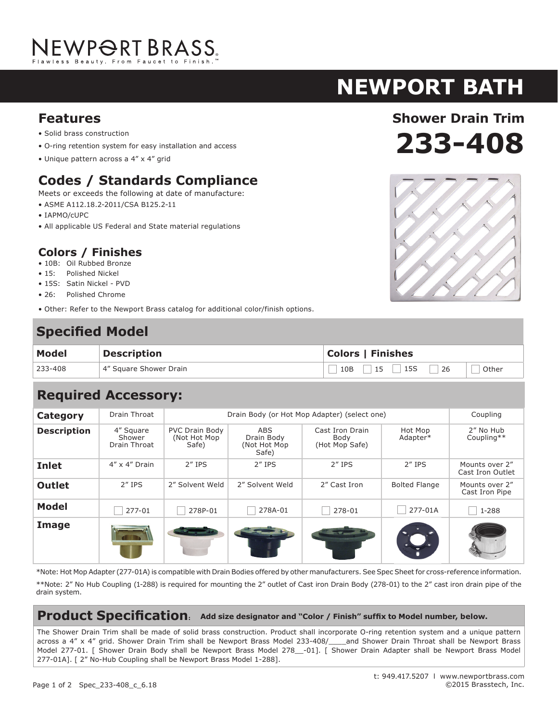# NEWPORT BRASS.

## **newport bath**

#### **Features**

- Solid brass construction
- O-ring retention system for easy installation and access
- Unique pattern across a 4" x 4" grid

## **Codes / Standards Compliance**

Meets or exceeds the following at date of manufacture:

- ASME A112.18.2-2011/CSA B125.2-11
- IAPMO/cUPC
- All applicable US Federal and State material regulations

#### **Colors / Finishes**

- 10B: Oil Rubbed Bronze
- 15: Polished Nickel
- 15S: Satin Nickel PVD
- 26: Polished Chrome
- Other: Refer to the Newport Brass catalog for additional color/finish options.

## **Specified Model**

| <b>Model</b> | <b>Description</b>     | <b>Colors   Finishes</b> |  |  |
|--------------|------------------------|--------------------------|--|--|
| 233-408      | 4" Square Shower Drain | $10B$ 15 15S 26<br>Other |  |  |

## **Required Accessory:**

| <b>Category</b>    | Drain Throat                        | Drain Body (or Hot Mop Adapter) (select one)    |                                                   |                                           |                      | Coupling                           |
|--------------------|-------------------------------------|-------------------------------------------------|---------------------------------------------------|-------------------------------------------|----------------------|------------------------------------|
| <b>Description</b> | 4" Square<br>Shower<br>Drain Throat | <b>PVC Drain Body</b><br>(Not Hot Mop)<br>Safe) | <b>ABS</b><br>Drain Body<br>(Not Hot Mop<br>Safe) | Cast Iron Drain<br>Body<br>(Hot Mop Safe) | Hot Mop<br>Adapter*  | 2" No Hub<br>Coupling**            |
| <b>Inlet</b>       | $4'' \times 4''$ Drain              | $2''$ IPS                                       | $2''$ IPS                                         | $2''$ IPS                                 | $2''$ IPS            | Mounts over 2"<br>Cast Iron Outlet |
| <b>Outlet</b>      | $2''$ IPS                           | 2" Solvent Weld                                 | 2" Solvent Weld                                   | 2" Cast Iron                              | <b>Bolted Flange</b> | Mounts over 2"<br>Cast Iron Pipe   |
| <b>Model</b>       | 277-01                              | 278P-01                                         | 278A-01                                           | 278-01                                    | 277-01A              | 1-288                              |
| Image              |                                     |                                                 |                                                   |                                           |                      |                                    |

\*Note: Hot Mop Adapter (277-01A) is compatible with Drain Bodies offered by other manufacturers. See Spec Sheet for cross-reference information.

\*\*Note: 2" No Hub Coupling (1-288) is required for mounting the 2" outlet of Cast iron Drain Body (278-01) to the 2" cast iron drain pipe of the drain system.

#### **Product Specification: Add size designator and "Color / Finish" suffix to Model number, below.**

The Shower Drain Trim shall be made of solid brass construction. Product shall incorporate O-ring retention system and a unique pattern across a 4" x 4" grid. Shower Drain Trim shall be Newport Brass Model 233-408/\_\_\_and Shower Drain Throat shall be Newport Brass Model 277-01. [ Shower Drain Body shall be Newport Brass Model 278\_-01]. [ Shower Drain Adapter shall be Newport Brass Model 277-01A]. [ 2" No-Hub Coupling shall be Newport Brass Model 1-288].



**233-408**

**Shower Drain Trim**